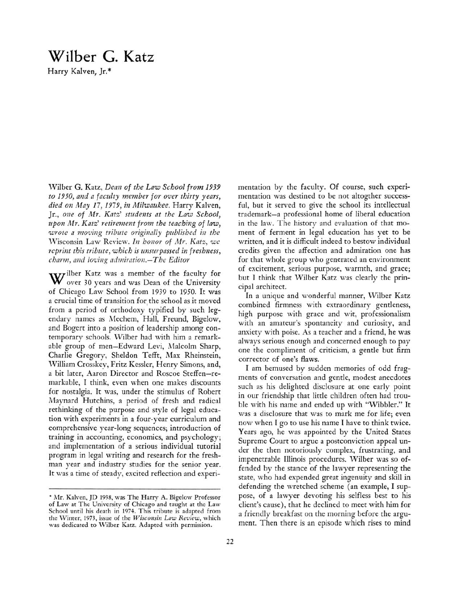## Wilber G. Katz

Harry Kalven, Jr.\*

Wilber G. Katz, Dean of the Law School from <sup>1939</sup> to 1950, and <sup>a</sup> faculty member for over thirty years, died on May 17, 1979, in Milwaukee. Harry Kalven, Jr., one of Mr. Katz' students at the Law School, upon Mr. Katz' retirement from the teaching of law, wrote a moving tribute originally published in the Wisconsin Law Review. In honor of Mr. Katz, we reprint this tribute, which is unsurpassed in freshness, charm, and loving admiration.-The Editor

Wilber Katz was a member of the faculty for over 30 years and was Dean of the University of Chicago Law School from <sup>1939</sup> to 1950. It was a crucial time of transition for the school as it moved from <sup>a</sup> period of orthodoxy typified by such legendary names as Mechem, Hall, Freund, Bigelow, and Bogert into <sup>a</sup> position of leadership among contemporary schools. Wilber had with him <sup>a</sup> remarkable group of men-Edward Levi, Malcolm Sharp, Charlie Gregory, Sheldon Tefft, Max Rheinstein, William Crosskev, Fritz Kessler, Henry Simons, and, <sup>a</sup> bit later, Aaron Director and Roscoe Steffen-remarkable, I think, even when one makes discounts for nostalgia. It was, under the stimulus of Robert Maynard Hutchins, <sup>a</sup> period of fresh and radical rethinking of the purpose and style of legal education with experiments in <sup>a</sup> four-year curriculum and comprehensive year-long sequences; introduction of training in accounting, economics, and psychology; and implementation of <sup>a</sup> serious individual tutorial program in legal writing and research for the freshman year and industry studies for the senior year. It was <sup>a</sup> time of steady, excited reflection and experimentation by the faculty. Of course, such experimentation was destined to be not altogther successful, but it served to give the school its intellectual trademark-a professional home of liberal education in the law. The history and evaluation of that moment of ferment in legal education has yet to be written, and it is difficult indeed to bestow individual credits given the affection and admiration one has for that whole group who generated an environment of excitement, serious purpose, warmth, and grace; but I think that Wilber Katz was clearly the principal architect.

In <sup>a</sup> unique and wonderful manner, Wilber Katz combined firmness with extraordinary gentleness, high purpose with grace and wit, professionalism with an amateur's spontaneity and curiosity, and anxiety with poise. As <sup>a</sup> teacher and <sup>a</sup> friend, he was always serious enough and concerned enough to pay one the compliment of criticism, <sup>a</sup> gentle but firm corrector of one's flaws.

I am bemused by sudden memories of odd fragments of conversation and gentle, modest anecdotes such as his delighted disclosure at one early point in our friendship that little children often had trouble with his name and ended up with "Wibbler." It was <sup>a</sup> disclosure that was to mark me for life; even now when I go to use his name I have to think twice. Years ago, he was appointed by the United States Supreme Court to argue <sup>a</sup> postconviction appeal under the then notoriously complex, frustrating, and impenetrable Illinois procedures. Wilber was so offended by the stance of the lawyer representing the state, who had expended great ingenuity and skill in defending the wretched scheme (an example, I suppose, of <sup>a</sup> lawyer devoting his selfless best to his client's cause), that he declined to meet with him for a friendly breakfast on the morning before the argument. Then there is an episode which rises to mind

<sup>•</sup> Mr. Kalven,)D 1938, was The Harry A. Bigelow Professor of Law at The University of Chicago and taught at the Law School until his death in 1974. This tribute is adapted from the Winter, 1973, issue of the Wisconsin Law Review, which was dedicated to Wilber Katz. Adapted with permission.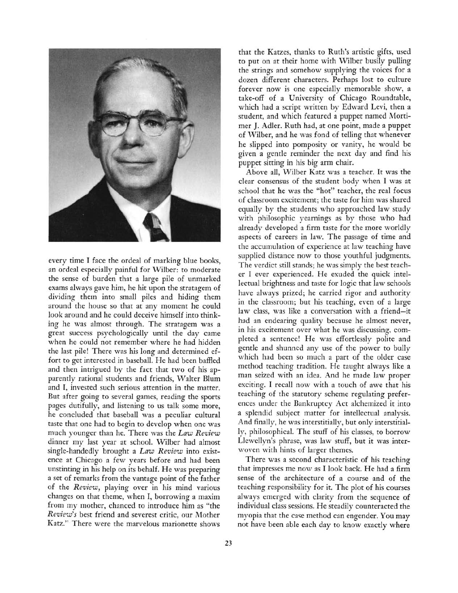

every time I face the ordeal of marking blue books, an ordeal especially painful for Wilber: to moderate the sense of burden that <sup>a</sup> large pile of unmarked exams always gave him, he hit upon the stratagem of dividing them into small piles and hiding them around the house so that at any moment he could look around and he could deceive himself into thinking he was almost through. The stratagem was <sup>a</sup> great success psychologically until the day came when he could not remember where he had hidden the last pile! There was his long and determined effort to get interested in baseball. He had been baffled and then intrigued by the fact that two of his apparently rational students and friends, Walter Blum and I, invested such serious attention in the matter. But after going to several games, reading the sports pages dutifully, and listening to us talk some more, he concluded that baseball was <sup>a</sup> peculiar cultural taste that one had to begin to develop when one was much younger than he. There was the Law Review dinner my last year at school. Wilber had almost single-handedly brought a Law Review into existence at Chicago <sup>a</sup> few years before and had been unstinting in his help on its behalf. He was preparing <sup>a</sup> set of remarks from the vantage point of the father of the Review, playing over in his mind various changes on that theme, when I, borrowing <sup>a</sup> maxim from my mother, chanced to introduce him as "the Review's best friend and severest critic, our Mother Katz." There were the marvelous marionette shows

that the Katzes, thanks to Ruth's artistic gifts, used to put on at their home with Wilber busily pulling the strings and somehow supplying the voices for <sup>a</sup> dozen different characters. Perhaps lost to culture forever now is one especially memorable show, <sup>a</sup> take-off of <sup>a</sup> University of Chicago Roundtable, which had <sup>a</sup> script written by Edward Levi, then <sup>a</sup> student, and which featured <sup>a</sup> puppet named Mortimer J. Adler. Ruth had, at one point, made <sup>a</sup> puppet of Wilber, and he was fond of telling that whenever he slipped into pomposity or vanity, he would be given <sup>a</sup> gentle reminder the next day and find his puppet sitting in his big arm chair.

Above all, Wilber Katz was <sup>a</sup> teacher. It was the clear consensus of the student body when I was at school that he was the "hot" teacher, the real focus of classroom excitement; the taste for him was shared equally by the students who approached law study with philosophic yearnings as by those who had already developed <sup>a</sup> firm taste for the more worldly aspects of careers in law. The passage of time and the accumulation of experience at law teaching have supplied distance now to those youthful judgments. The verdict still stands; he was simply the best teacher I ever experienced. He exuded the quick intellectual brightness and taste for logic that law schools have always prized; he carried rigor and authority in the classroom; but his teaching, even of <sup>a</sup> large law class, was like <sup>a</sup> conversation with <sup>a</sup> friend-it had an endearing quality because he almost never, in his excitement over what he was discussing, completed <sup>a</sup> sentence! He was effortlessly polite and gentle and shunned any use of the power to bully which had been so much <sup>a</sup> part of the older case method teaching tradition. He taught always like <sup>a</sup> man seized with an idea. And he made law proper exciting. I recall now with <sup>a</sup> touch of awe that his teaching of the statutory scheme regulating preferences under the Bankruptcy Act alchemized it into <sup>a</sup> splendid subject matter for intellectual analysis. And finally, he was interstitially, but only interstitially, philosophical. The stuff of his classes, to borrow Llewellyn's phrase, was law stuff, but it was interwoven with hints of larger themes.

There was <sup>a</sup> second characteristic of his teaching that impresses me now as I look back. He had <sup>a</sup> firm sense of the architecture of <sup>a</sup> course and of the teaching responsibility for it. The plot of his courses always emerged with clarity from the sequence of individual class sessions. He steadily counteracted the myopia that the case method can engender. You may not have been able each day to know exactly where